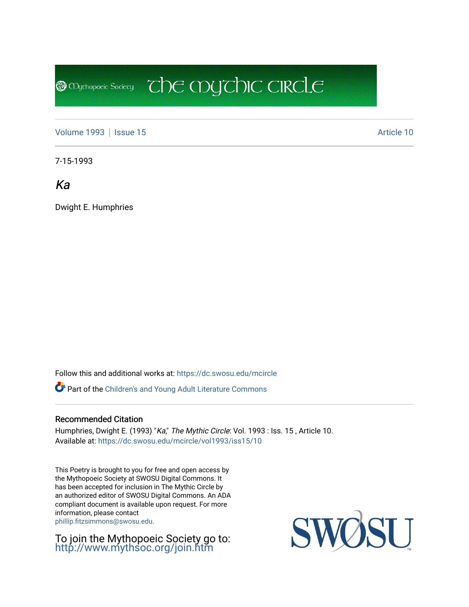[Volume 1993](https://dc.swosu.edu/mcircle/vol1993) | [Issue 15](https://dc.swosu.edu/mcircle/vol1993/iss15) Article 10

**@** Mychopoeic Sociecy

7-15-1993

Ka

Dwight E. Humphries

Follow this and additional works at: [https://dc.swosu.edu/mcircle](https://dc.swosu.edu/mcircle?utm_source=dc.swosu.edu%2Fmcircle%2Fvol1993%2Fiss15%2F10&utm_medium=PDF&utm_campaign=PDFCoverPages) 

Part of the [Children's and Young Adult Literature Commons](http://network.bepress.com/hgg/discipline/1289?utm_source=dc.swosu.edu%2Fmcircle%2Fvol1993%2Fiss15%2F10&utm_medium=PDF&utm_campaign=PDFCoverPages) 

#### Recommended Citation

Humphries, Dwight E. (1993) "Ka," The Mythic Circle: Vol. 1993 : Iss. 15, Article 10. Available at: [https://dc.swosu.edu/mcircle/vol1993/iss15/10](https://dc.swosu.edu/mcircle/vol1993/iss15/10?utm_source=dc.swosu.edu%2Fmcircle%2Fvol1993%2Fiss15%2F10&utm_medium=PDF&utm_campaign=PDFCoverPages) 

 $\mathbb{C}$  the mychic circle

This Poetry is brought to you for free and open access by the Mythopoeic Society at SWOSU Digital Commons. It has been accepted for inclusion in The Mythic Circle by an authorized editor of SWOSU Digital Commons. An ADA compliant document is available upon request. For more information, please contact [phillip.fitzsimmons@swosu.edu](mailto:phillip.fitzsimmons@swosu.edu).

To join the Mythopoeic Society go to: <http://www.mythsoc.org/join.htm>

SWOSU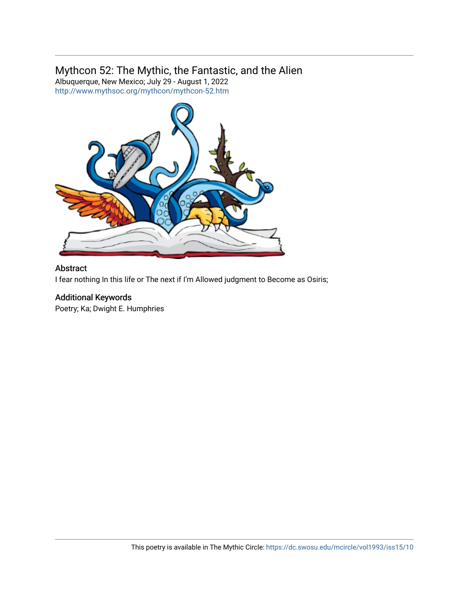### Mythcon 52: The Mythic, the Fantastic, and the Alien

Albuquerque, New Mexico; July 29 - August 1, 2022 <http://www.mythsoc.org/mythcon/mythcon-52.htm>



#### Abstract

I fear nothing In this life or The next if I'm Allowed judgment to Become as Osiris;

### Additional Keywords

Poetry; Ka; Dwight E. Humphries